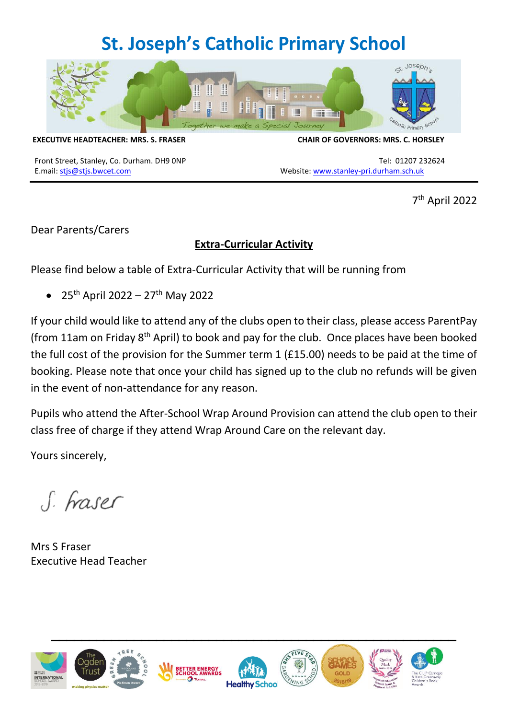## **St. Joseph's Catholic Primary School**



**EXECUTIVE HEADTEACHER: MRS. S. FRASER CHAIR OF GOVERNORS: MRS. C. HORSLEY**

E.mail: [stjs@stjs.bwcet.com](mailto:stjs@stjs.bwcet.com) Website: [www.stanley-pri.durham.sch.uk](http://www.stanley-pri.durham.sch.uk/)

Front Street, Stanley, Co. Durham. DH9 0NP Tel: 01207 232624

7 th April 2022

Dear Parents/Carers

## **Extra-Curricular Activity**

Please find below a table of Extra-Curricular Activity that will be running from

•  $25^{th}$  April 2022 – 27<sup>th</sup> May 2022

If your child would like to attend any of the clubs open to their class, please access ParentPay (from 11am on Friday 8th April) to book and pay for the club.Once places have been booked the full cost of the provision for the Summer term 1 (£15.00) needs to be paid at the time of booking. Please note that once your child has signed up to the club no refunds will be given in the event of non-attendance for any reason.

Pupils who attend the After-School Wrap Around Provision can attend the club open to their class free of charge if they attend Wrap Around Care on the relevant day.

Yours sincerely,

S. Fraser

Mrs S Fraser Executive Head Teacher